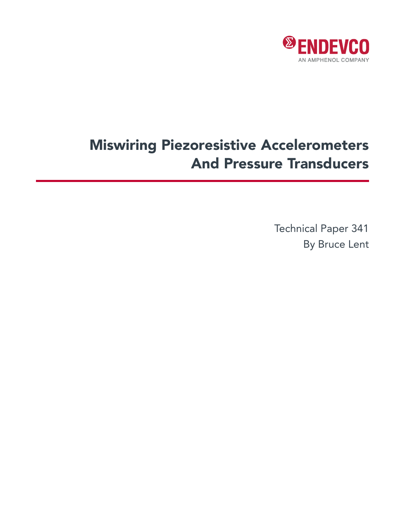

# Miswiring Piezoresistive Accelerometers And Pressure Transducers

Technical Paper 341 By Bruce Lent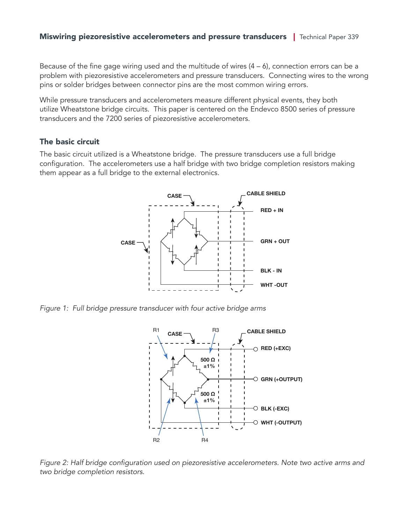Because of the fine gage wiring used and the multitude of wires  $(4 - 6)$ , connection errors can be a problem with piezoresistive accelerometers and pressure transducers. Connecting wires to the wrong pins or solder bridges between connector pins are the most common wiring errors.

While pressure transducers and accelerometers measure different physical events, they both utilize Wheatstone bridge circuits. This paper is centered on the Endevco 8500 series of pressure transducers and the 7200 series of piezoresistive accelerometers.

#### The basic circuit

The basic circuit utilized is a Wheatstone bridge. The pressure transducers use a full bridge configuration. The accelerometers use a half bridge with two bridge completion resistors making them appear as a full bridge to the external electronics.



*Figure 1: Full bridge pressure transducer with four active bridge arms*



Figure 2: Half bridge configuration used on piezoresistive accelerometers. Note two active arms and two bridge completion resistors.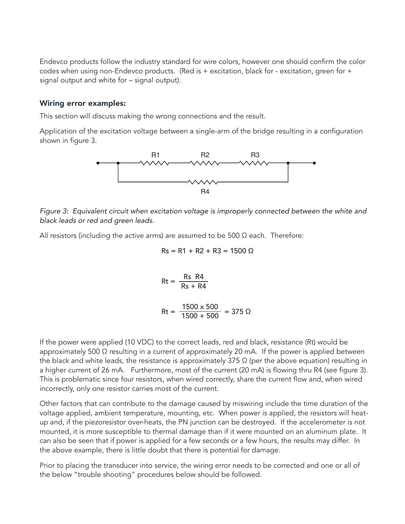Endevco products follow the industry standard for wire colors, however one should confirm the color codes when using non-Endevco products. (Red is + excitation, black for - excitation, green for + signal output and white for – signal output).

#### Wiring error examples:

This section will discuss making the wrong connections and the result.

Application of the excitation voltage between a single-arm of the bridge resulting in a configuration shown in figure 3.



*Figure 3: Equivalent circuit when excitation voltage is improperly connected between the white and black leads or red and green leads.*

All resistors (including the active arms) are assumed to be 500  $\Omega$  each. Therefore:

$$
Rs = R1 + R2 + R3 = 1500 \Omega
$$

$$
Rt = \frac{Rs \quad R4}{Rs + R4}
$$

$$
Rt = \frac{1500 \times 500}{1500 + 500} = 375 \Omega
$$

If the power were applied (10 VDC) to the correct leads, red and black, resistance (Rt) would be approximately 500  $\Omega$  resulting in a current of approximately 20 mA. If the power is applied between the black and white leads, the resistance is approximately 375  $\Omega$  (per the above equation) resulting in a higher current of 26 mA. Furthermore, most of the current (20 mA) is flowing thru R4 (see figure 3). This is problematic since four resistors, when wired correctly, share the current flow and, when wired incorrectly, only one resistor carries most of the current.

Other factors that can contribute to the damage caused by miswiring include the time duration of the voltage applied, ambient temperature, mounting, etc. When power is applied, the resistors will heatup and, if the piezoresistor over-heats, the PN junction can be destroyed. If the accelerometer is not mounted, it is more susceptible to thermal damage than if it were mounted on an aluminum plate. It can also be seen that if power is applied for a few seconds or a few hours, the results may differ. In the above example, there is little doubt that there is potential for damage.

Prior to placing the transducer into service, the wiring error needs to be corrected and one or all of the below "trouble shooting" procedures below should be followed.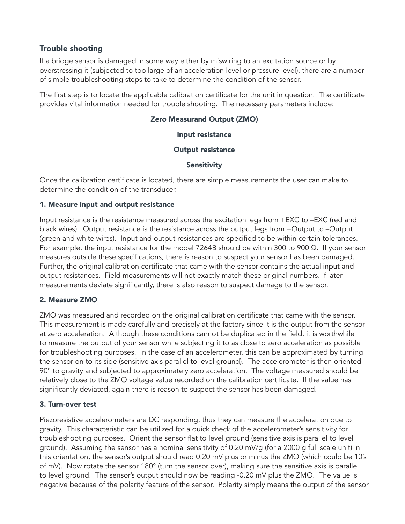# Trouble shooting

If a bridge sensor is damaged in some way either by miswiring to an excitation source or by overstressing it (subjected to too large of an acceleration level or pressure level), there are a number of simple troubleshooting steps to take to determine the condition of the sensor.

The first step is to locate the applicable calibration certificate for the unit in question. The certificate provides vital information needed for trouble shooting. The necessary parameters include:

### Zero Measurand Output (ZMO)

#### Input resistance

#### Output resistance

#### Sensitivity

Once the calibration certificate is located, there are simple measurements the user can make to determine the condition of the transducer.

#### 1. Measure input and output resistance

Input resistance is the resistance measured across the excitation legs from +EXC to –EXC (red and black wires). Output resistance is the resistance across the output legs from +Output to –Output (green and white wires). Input and output resistances are specified to be within certain tolerances. For example, the input resistance for the model 7264B should be within 300 to 900 Ω. If your sensor measures outside these specifications, there is reason to suspect your sensor has been damaged. Further, the original calibration certificate that came with the sensor contains the actual input and output resistances. Field measurements will not exactly match these original numbers. If later measurements deviate significantly, there is also reason to suspect damage to the sensor.

# 2. Measure ZMO

ZMO was measured and recorded on the original calibration certificate that came with the sensor. This measurement is made carefully and precisely at the factory since it is the output from the sensor at zero acceleration. Although these conditions cannot be duplicated in the field, it is worthwhile to measure the output of your sensor while subjecting it to as close to zero acceleration as possible for troubleshooting purposes. In the case of an accelerometer, this can be approximated by turning the sensor on to its side (sensitive axis parallel to level ground). The accelerometer is then oriented 90° to gravity and subjected to approximately zero acceleration. The voltage measured should be relatively close to the ZMO voltage value recorded on the calibration certificate. If the value has significantly deviated, again there is reason to suspect the sensor has been damaged.

#### 3. Turn-over test

Piezoresistive accelerometers are DC responding, thus they can measure the acceleration due to gravity. This characteristic can be utilized for a quick check of the accelerometer's sensitivity for troubleshooting purposes. Orient the sensor flat to level ground (sensitive axis is parallel to level ground). Assuming the sensor has a nominal sensitivity of 0.20 mV/g (for a 2000 g full scale unit) in this orientation, the sensor's output should read 0.20 mV plus or minus the ZMO (which could be 10's of mV). Now rotate the sensor 180° (turn the sensor over), making sure the sensitive axis is parallel to level ground. The sensor's output should now be reading -0.20 mV plus the ZMO. The value is negative because of the polarity feature of the sensor. Polarity simply means the output of the sensor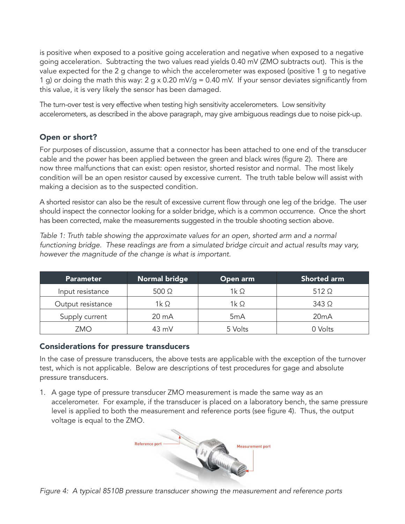is positive when exposed to a positive going acceleration and negative when exposed to a negative going acceleration. Subtracting the two values read yields 0.40 mV (ZMO subtracts out). This is the value expected for the 2 g change to which the accelerometer was exposed (positive 1 g to negative 1 g) or doing the math this way: 2 g x 0.20 mV/g = 0.40 mV. If your sensor deviates significantly from this value, it is very likely the sensor has been damaged.

The turn-over test is very effective when testing high sensitivity accelerometers. Low sensitivity accelerometers, as described in the above paragraph, may give ambiguous readings due to noise pick-up.

# Open or short?

For purposes of discussion, assume that a connector has been attached to one end of the transducer cable and the power has been applied between the green and black wires (figure 2). There are now three malfunctions that can exist: open resistor, shorted resistor and normal. The most likely condition will be an open resistor caused by excessive current. The truth table below will assist with making a decision as to the suspected condition.

A shorted resistor can also be the result of excessive current flow through one leg of the bridge. The user should inspect the connector looking for a solder bridge, which is a common occurrence. Once the short has been corrected, make the measurements suggested in the trouble shooting section above.

*Table 1: Truth table showing the approximate values for an open, shorted arm and a normal* functioning bridge. These readings are from a simulated bridge circuit and actual results may vary, however the magnitude of the change is what is important.

| <b>Parameter</b>  | <b>Normal bridge</b> | Open arm         | Shorted arm  |
|-------------------|----------------------|------------------|--------------|
| Input resistance  | $500 \Omega$         | 1k $\Omega$      | $512 \Omega$ |
| Output resistance | 1k $\Omega$          | 1 $k \Omega$     | $343\Omega$  |
| Supply current    | 20 mA                | 5 <sub>m</sub> A | 20mA         |
| <b>ZMO</b>        | $43 \text{ mV}$      | 5 Volts          | 0 Volts      |

# Considerations for pressure transducers

In the case of pressure transducers, the above tests are applicable with the exception of the turnover test, which is not applicable. Below are descriptions of test procedures for gage and absolute pressure transducers.

1. A gage type of pressure transducer ZMO measurement is made the same way as an accelerometer. For example, if the transducer is placed on a laboratory bench, the same pressure level is applied to both the measurement and reference ports (see figure 4). Thus, the output



Figure 4: A typical 8510B pressure transducer showing the measurement and reference ports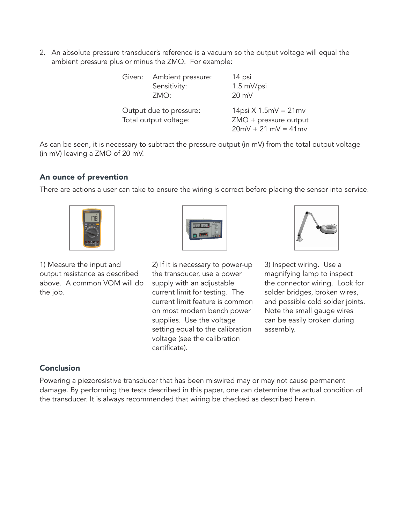2. An absolute pressure transducer's reference is a vacuum so the output voltage will equal the ambient pressure plus or minus the ZMO. For example:

|                                                  | Given: Ambient pressure:<br>Sensitivity:<br>ZMO: | 14 psi<br>1.5 mV/psi<br>$20 \text{ mV}$                                   |
|--------------------------------------------------|--------------------------------------------------|---------------------------------------------------------------------------|
| Output due to pressure:<br>Total output voltage: |                                                  | $14$ psi X 1.5mV = 21mv<br>ZMO + pressure output<br>$20mV + 21 mV = 41mv$ |

As can be seen, it is necessary to subtract the pressure output (in mV) from the total output voltage (in mV) leaving a ZMO of 20 mV.

# An ounce of prevention

There are actions a user can take to ensure the wiring is correct before placing the sensor into service.



1) Measure the input and output resistance as described above. A common VOM will do the job.



2) If it is necessary to power-up the transducer, use a power supply with an adjustable current limit for testing. The current limit feature is common on most modern bench power supplies. Use the voltage setting equal to the calibration voltage (see the calibration certificate).



3) Inspect wiring. Use a magnifying lamp to inspect the connector wiring. Look for solder bridges, broken wires, and possible cold solder joints. Note the small gauge wires can be easily broken during assembly.

# Conclusion

Powering a piezoresistive transducer that has been miswired may or may not cause permanent damage. By performing the tests described in this paper, one can determine the actual condition of the transducer. It is always recommended that wiring be checked as described herein.